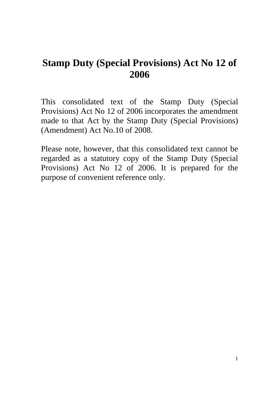# **Stamp Duty (Special Provisions) Act No 12 of 2006**

This consolidated text of the Stamp Duty (Special Provisions) Act No 12 of 2006 incorporates the amendment made to that Act by the Stamp Duty (Special Provisions) (Amendment) Act No.10 of 2008.

Please note, however, that this consolidated text cannot be regarded as a statutory copy of the Stamp Duty (Special Provisions) Act No 12 of 2006. It is prepared for the purpose of convenient reference only.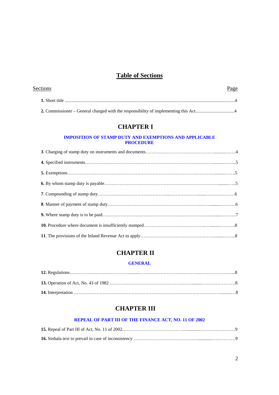# **Table of Sections**

| Sections | Page |
|----------|------|
|          |      |
|          |      |

### **CHAPTER I**

#### **IMPOSITION OF STAMP DUTY AND EXEMPTIONS AND APPLICABLE PROCEDURE**

# **CHAPTER II**

#### **GENERAL**

# **CHAPTER III**

#### **REPEAL OF PART III OF THE FINANCE ACT, NO. 11 OF 2002**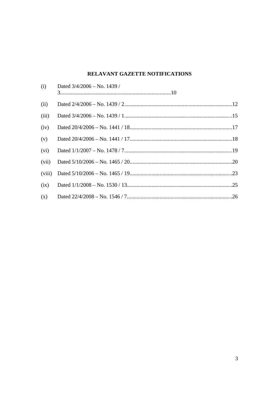# RELAVANT GAZETTE NOTIFICATIONS

| (i)    | Dated $3/4/2006 -$ No. 1439 / |  |
|--------|-------------------------------|--|
| (ii)   |                               |  |
| (iii)  |                               |  |
| (iv)   |                               |  |
| (v)    |                               |  |
| (vi)   |                               |  |
| (vii)  |                               |  |
| (viii) |                               |  |
| (ix)   |                               |  |
| (x)    |                               |  |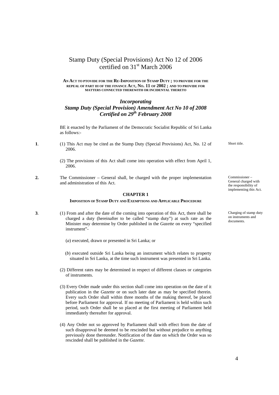## Stamp Duty (Special Provisions) Act No 12 of 2006 certified on 31<sup>st</sup> March 2006

#### **AN ACT TO PTOVIDE FOR THE RE-IMPOSITION OF STAMP DUTY ; TO PROVIDE FOR THE REPEAL OF PART III OF THE FINANCE ACT, NO. 11 OF 2002 ; AND TO PROVIDE FOR MATTERS CONNECTED THEREWITH OR INCIDENTAL THERETO**

### *Incorporating Stamp Duty (Special Provision) Amendment Act No 10 of 2008 Certified on 29th February 2008*

 BE it enacted by the Parliament of the Democratic Socialist Republic of Sri Lanka as follows:-

- **1**. (1) This Act may be cited as the Stamp Duty (Special Provisions) Act, No. 12 of 2006.
	- (2) The provisions of this Act shall come into operation with effect from April 1, 2006.
- **2.** The Commissioner General shall, be charged with the proper implementation and administration of this Act.

#### **CHAPTER 1**

#### **IMPOSITION OF STAMP DUTY AND EXEMPTIONS AND APPLICABLE PROCEDURE**

- **3**. (1) From and after the date of the coming into operation of this Act, there shall be charged a duty (hereinafter to be called "stamp duty") at such rate as the Minister may determine by Order published in the *Gazette* on every "specified instrument"-
	- (*a*) executed, drawn or presented in Sri Lanka; or
	- (*b*) executed outside Sri Lanka being an instrument which relates to property situated in Sri Lanka, at the time such instrument was presented in Sri Lanka.
	- (2) Different rates may be determined in respect of different classes or categories of instruments.
	- (3) Every Order made under this section shall come into operation on the date of it publication in the *Gazette* or on such later date as may be specified therein. Every such Order shall within three months of the making thereof, be placed before Parliament for approval. If no meeting of Parliament is held within such period, such Order shall be so placed at the first meeting of Parliament held immediately thereafter for approval.
	- (4) Any Order not so approved by Parliament shall with effect from the date of such disapproval be deemed to be rescinded but without prejudice to anything previously done thereunder. Notification of the date on which the Order was so rescinded shall be published in the *Gazette.*

Short title.

Commissioner – General charged with the responsibility of implementing this Act.

Charging of stamp duty on instruments and documents.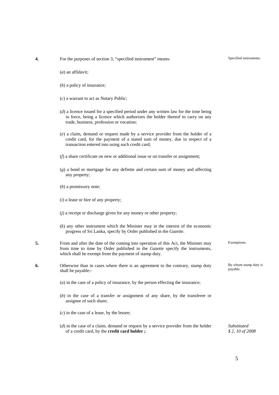- (*a*) an affidavit;
- (*b*) a policy of insurance;
- (*c*) a warrant to act as Notary Public;
- (*d*) a licence issued for a specified period under any written law for the time being in force, being a licence which authorizes the holder thereof to carry on any trade, business, profession or vocation;
- (*e*) a claim, demand or request made by a service provider from the holder of a credit card, for the payment of a stated sum of money, due in respect of a transaction entered into using such credit card;
- (*f*) a share certificate on new or additional issue or on transfer or assignment;
- (*g*) a bond or mortgage for any definite and certain sum of money and affecting any property;
- (*h*) a promissory note;
- (*i*) a lease or hire of any property;
- (*j*) a receipt or discharge given for any money or other property;
- (*k*) any other instrument which the Minister may in the interest of the economic progress of Sri Lanka, specify by Order published in the *Gazette*.
- **5.** From and after the date of the coming into operation of this Act, the Minister may from time to time by Order published in the *Gazette* specify the instruments, which shall be exempt from the payment of stamp duty.
- **6.** Otherwise than in cases where there is an agreement to the contrary, stamp duty shall be payable:-
	- (*a*) in the case of a policy of insurance, by the person effecting the insurance;
	- (*b*) in the case of a transfer or assignment of any share, by the transferee or assignee of such share;

(*c*) in the case of a lease, by the lessee;

 (*d*) in the case of a claim, demand or request by a service provider from the holder of a credit card, by the **credit card holder ;**

Exemptions.

By whom stamp duty is payable.

*Substituted \$ 2, 10 of 2008*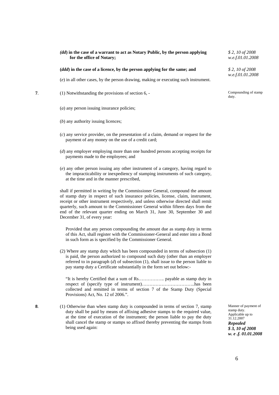#### *(dd***) in the case of a warrant to act as Notary Public, by the person applying for the office of Notary;**

#### **(***ddd***) in the case of a licence, by the person applying for the same; and** *\$ 2, 10 of 2008*

(*e*) in all other cases, by the person drawing, making or executing such instrument.

- **7**. (1) Notwithstanding the provisions of section 6, Compounding of stamp
	- (*a*) any person issuing insurance policies;
	- (*b*) any authority issuing licences;
	- (*c*) any service provider, on the presentation of a claim, demand or request for the payment of any money on the use of a credit card;
	- (*d*) any employer employing more than one hundred persons accepting receipts for payments made to the employees; and
	- (*e*) any other person issuing any other instrument of a category, having regard to the impracticability or inexpediency of stamping instruments of such category, at the time and in the manner prescribed,

 shall if permitted in writing by the Commissioner General, compound the amount of stamp duty in respect of such insurance policies, license, claim, instrument, receipt or other instrument respectively, and unless otherwise directed shall remit quarterly, such amount to the Commissioner General within fifteen days from the end of the relevant quarter ending on March 31, June 30, September 30 and December 31, of every year:

 Provided that any person compounding the amount due as stamp duty in terms of this Act, shall register with the Commissioner-General and enter into a Bond in such form as is specified by the Commissioner General.

 (2) Where any stamp duty which has been compounded in terms of subsection (1) is paid, the person authorized to compound such duty (other than an employer referred to in paragraph (*d*) of subsection (1), shall issue to the person liable to pay stamp duty a Certificate substantially in the form set out below:-

 "It is hereby Certified that a sum of Rs…………….. payable as stamp duty in respect of (specify type of instrument)……………………………..has been collected and remitted in terms of section 7 of the Stamp Duty (Special Provisions) Act, No. 12 of 2006.".

**8**. (1) Otherwise than when stamp duty is compounded in terms of section 7, stamp duty shall be paid by means of affixing adhesive stamps to the required value, at the time of execution of the instrument; the person liable to pay the duty shall cancel the stamp or stamps so affixed thereby preventing the stamps from being used again:

Manner of payment of stamp duty. Applicable up to 31.12.2007 *Repealed \$ 3, 10 of 2008 w. e .f. 01.01.2008*

*w.e.f.01.01.2008*

*\$ 2, 10 of 2008 w.e.f.01.01.2008*

duty.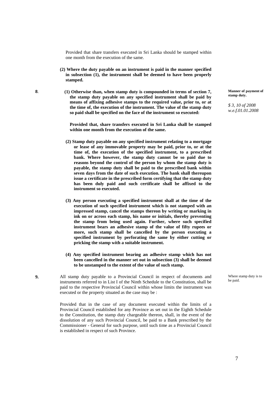Provided that share transfers executed in Sri Lanka should be stamped within one month from the execution of the same.

- **(2) Where the duty payable on an instrument is paid in the manner specified in subsection (1), the instrument shall be deemed to have been properly stamped.**
- **8**. **(1) Otherwise than, when stamp duty is compounded in terms of section 7, the stamp duty payable on any specified instrument shall be paid by means of affixing adhesive stamps to the required value, prior to, or at the time of, the execution of the instrument. The value of the stamp duty so paid shall be specified on the face of the instrument so executed:**

 **Provided that, share transfers executed in Sri Lanka shall be stamped within one month from the execution of the same.** 

- **(2) Stamp duty payable on any specified instrument relating to a mortgage or lease of any immovable property may be paid, prior to, or at the time of, the execution of the specified instrument, to a prescribed bank. Where however, the stamp duty cannot be so paid due to reasons beyond the control of the person by whom the stamp duty is payable, the stamp duty shall be paid to the prescribed bank within seven days from the date of such execution. The bank shall thereupon issue a certificate in the prescribed form certifying that the stamp duty has been duly paid and such certificate shall be affixed to the instrument so executed.**
- **(3) Any person executing a specified instrument shall at the time of the execution of such specified instrument which is not stamped with an impressed stamp, cancel the stamps thereon by writing or marking in ink on or across each stamp, his name or initials, thereby preventing the stamp from being used again. Further, where such specified instrument bears an adhesive stamp of the value of fifty rupees or more, such stamp shall be cancelled by the person executing a specified instrument by perforating the same by either cutting or pricking the stamp with a suitable instrument.**
- **(4) Any specified instrument bearing an adhesive stamp which has not been cancelled in the manner set out in subsection (3) shall be deemed to be unstamped to the extent of the value of such stamp.**
- **9.** All stamp duty payable to a Provincial Council in respect of documents and instruments referred to in List I of the Ninth Schedule to the Constitution, shall be paid to the respective Provincial Council within whose limits the instrument was executed or the property situated as the case may be :

 Provided that in the case of any document executed within the limits of a Provincial Council established for any Province as set out in the Eighth Schedule to the Constitution, the stamp duty chargeable thereon, shall, in the event of the dissolution of any such Provincial Council, be paid to a Bank prescribed by the Commissioner - General for such purpose, until such time as a Provincial Council is established in respect of such Province.

**Manner of payment of stamp duty.** 

*\$ 3, 10 of 2008 w.e.f.01.01.2008*

Where stamp duty is to be paid.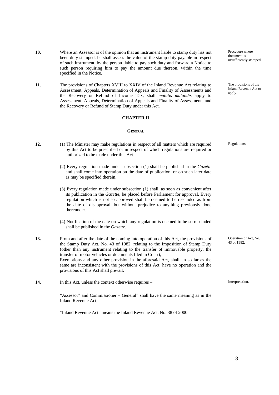- **10.** Where an Assessor is of the opinion that an instrument liable to stamp duty has not been duly stamped, he shall assess the value of the stamp duty payable in respect of such instrument, by the person liable to pay such duty and forward a Notice to such person requiring him to pay the amount due thereon, within the time specified in the Notice.
- **11**. The provisions of Chapters XVIII to XXIV of the Inland Revenue Act relating to Assessment, Appeals, Determination of Appeals and Finality of Assessments and the Recovery or Refund of Income Tax, shall *mutatis mutandis* apply to Assessment, Appeals, Determination of Appeals and Finality of Assessments and the Recovery or Refund of Stamp Duty under this Act.

#### **CHAPTER II**

#### **GENERAL**

- **12.** (1) The Minister may make regulations in respect of all matters which are required by this Act to be prescribed or in respect of which regulations are required or authorized to be made under this Act.
	- (2) Every regulation made under subsection (1) shall be published in the *Gazette*  and shall come into operation on the date of publication, or on such later date as may be specified therein.
	- (3) Every regulation made under subsection (1) shall, as soon as convenient after its publication in the *Gazette*, be placed before Parliament for approval. Every regulation which is not so approved shall be deemed to be rescinded as from the date of disapproval, but without prejudice to anything previously done thereunder.
- (4) Notification of the date on which any regulation is deemed to be so rescinded shall be published in the *Gazette.*
- **13.** From and after the date of the coming into operation of this Act, the provisions of the Stamp Duty Act, No. 43 of 1982, relating to the Imposition of Stamp Duty (other than any instrument relating to the transfer of immovable property, the transfer of motor vehicles or documents filed in Court), Exemptions and any other provision in the aforesaid Act, shall, in so far as the same are inconsistent with the provisions of this Act, have no operation and the provisions of this Act shall prevail.
- 14. In this Act, unless the context otherwise requires Interpretation.

 "Assessor" and Commissioner – General" shall have the same meaning as in the Inland Revenue Act;

"Inland Revenue Act" means the Inland Revenue Act, No. 38 of 2000.

Procedure where document is insufficiently stamped.

The provisions of the Inland Revenue Act to apply.

Regulations.

Operation of Act, No.  $43$  of 1982.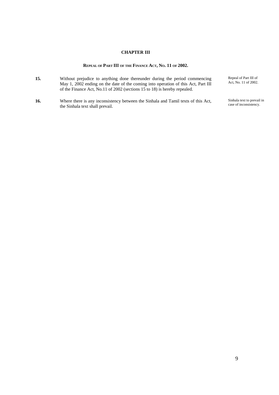### **CHAPTER III**

#### **REPEAL OF PART III OF THE FINANCE ACT, NO. 11 OF 2002.**

- **15.** Without prejudice to anything done thereunder during the period commencing May 1, 2002 ending on the date of the coming into operation of this Act, Part III of the Finance Act, No.11 of 2002 (sections 15 to 18) is hereby repealed.
- **16.** Where there is any inconsistency between the Sinhala and Tamil texts of this Act, the Sinhala text shall prevail.

Repeal of Part III of Act, No. 11 of 2002.

Sinhala text to prevail in case of inconsistency.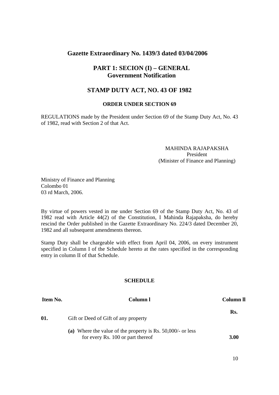### **Gazette Extraordinary No. 1439/3 dated 03/04/2006**

### **PART 1: SECION (I) – GENERAL Government Notification**

### **STAMP DUTY ACT, NO. 43 OF 1982**

#### **ORDER UNDER SECTION 69**

REGULATIONS made by the President under Section 69 of the Stamp Duty Act, No. 43 of 1982, read with Section 2 of that Act.

### MAHINDA RAJAPAKSHA President (Minister of Finance and Planning)

Ministry of Finance and Planning Colombo 01 03 rd March, 2006.

By virtue of powers vested in me under Section 69 of the Stamp Duty Act, No. 43 of 1982 read with Article 44(2) of the Constitution, I Mahinda Rajapaksha, do hereby rescind the Order published in the Gazette Extraordinary No. 224/3 dated December 20, 1982 and all subsequent amendments thereon.

Stamp Duty shall be chargeable with effect from April 04, 2006, on every instrument specified in Column I of the Schedule hereto at the rates specified in the corresponding entry in column II of that Schedule.

| Item No. | Column l                                                                                            | Column <sub>II</sub> |
|----------|-----------------------------------------------------------------------------------------------------|----------------------|
| 01.      | Gift or Deed of Gift of any property                                                                | Rs.                  |
|          | (a) Where the value of the property is Rs. $50,000/$ - or less<br>for every Rs. 100 or part thereof | 3.00                 |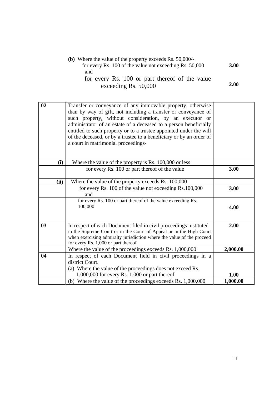| (b) Where the value of the property exceeds Rs. $50,000/$ - |      |
|-------------------------------------------------------------|------|
| for every Rs. 100 of the value not exceeding Rs. 50,000     | 3.00 |
| and                                                         |      |
| for every Rs. 100 or part thereof of the value              |      |
| exceeding Rs. 50,000                                        | 2.00 |

| 02   | Transfer or conveyance of any immovable property, otherwise<br>than by way of gift, not including a transfer or conveyance of<br>such property, without consideration, by an executor or<br>administrator of an estate of a deceased to a person beneficially<br>entitled to such property or to a trustee appointed under the will<br>of the deceased, or by a trustee to a beneficiary or by an order of<br>a court in matrimonial proceedings- |          |
|------|---------------------------------------------------------------------------------------------------------------------------------------------------------------------------------------------------------------------------------------------------------------------------------------------------------------------------------------------------------------------------------------------------------------------------------------------------|----------|
| (i)  | Where the value of the property is Rs. 100,000 or less                                                                                                                                                                                                                                                                                                                                                                                            |          |
|      | for every Rs. 100 or part thereof of the value                                                                                                                                                                                                                                                                                                                                                                                                    | 3.00     |
| (ii) | Where the value of the property exceeds Rs. 100,000                                                                                                                                                                                                                                                                                                                                                                                               |          |
|      | for every Rs. 100 of the value not exceeding Rs.100,000<br>and                                                                                                                                                                                                                                                                                                                                                                                    | 3.00     |
|      | for every Rs. 100 or part thereof of the value exceeding Rs.<br>100,000                                                                                                                                                                                                                                                                                                                                                                           | 4.00     |
| 03   | In respect of each Document filed in civil proceedings instituted<br>in the Supreme Court or in the Court of Appeal or in the High Court<br>when exercising admiralty jurisdiction where the value of the proceed<br>for every Rs. 1,000 or part thereof                                                                                                                                                                                          | 2.00     |
|      | Where the value of the proceedings exceeds Rs. 1,000,000                                                                                                                                                                                                                                                                                                                                                                                          | 2,000.00 |
| 04   | In respect of each Document field in civil proceedings in a<br>district Court.<br>(a) Where the value of the proceedings does not exceed Rs.<br>1,000,000 for every Rs. 1,000 or part thereof                                                                                                                                                                                                                                                     | 1.00     |
|      | (b) Where the value of the proceedings exceeds Rs. 1,000,000                                                                                                                                                                                                                                                                                                                                                                                      | 1,000.00 |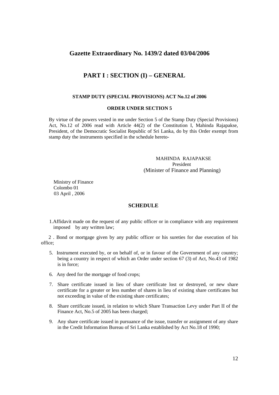### **Gazette Extraordinary No. 1439/2 dated 03/04/2006**

### **PART I : SECTION (I) – GENERAL**

#### **STAMP DUTY (SPECIAL PROVISIONS) ACT No.12 of 2006**

#### **ORDER UNDER SECTION 5**

By virtue of the powers vested in me under Section 5 of the Stamp Duty (Special Provisions) Act, No.12 of 2006 read with Article 44(2) of the Constitution I, Mahinda Rajapakse, President, of the Democratic Socialist Republic of Sri Lanka, do by this Order exempt from stamp duty the instruments specified in the schedule hereto-

### MAHINDA RAJAPAKSE President (Minister of Finance and Planning)

 Ministry of Finance Colombo 01 03 April , 2006

#### **SCHEDULE**

1.Affidavit made on the request of any public officer or in compliance with any requirement imposed by any written law;

 2 . Bond or mortgage given by any public officer or his sureties for due execution of his office;

- 5. Instrument executed by, or on behalf of, or in favour of the Government of any country; being a country in respect of which an Order under section 67 (3) of Act, No.43 of 1982 is in force;
- 6. Any deed for the mortgage of food crops;
- 7. Share certificate issued in lieu of share certificate lost or destroyed, or new share certificate for a greater or less number of shares in lieu of existing share certificates but not exceeding in value of the existing share certificates;
- 8. Share certificate issued, in relation to which Share Transaction Levy under Part II of the Finance Act, No.5 of 2005 has been charged;
- 9. Any share certificate issued in pursuance of the issue, transfer or assignment of any share in the Credit Information Bureau of Sri Lanka established by Act No.18 of 1990;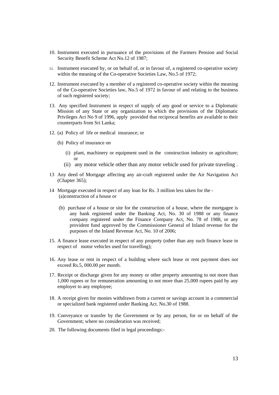- 10. Instrument executed in pursuance of the provisions of the Farmers Pension and Social Security Benefit Scheme Act No.12 of 1987;
- 11. Instrument executed by, or on behalf of, or in favour of, a registered co-operative society within the meaning of the Co-operative Societies Law, No.5 of 1972;
- 12. Instrument executed by a member of a registered co-operative society within the meaning of the Co-operative Societies law, No.5 of 1972 in favour of and relating to the business of such registered society;
- 13. Any specified Instrument in respect of supply of any good or service to a Diplomatic Mission of any State or any organization to which the provisions of the Diplomatic Privileges Act No 9 of 1996, apply provided that reciprocal benefits are available to their counterparts from Sri Lanka;
- 12. (a) Policy of life or medical insurance; or
	- (b) Policy of insurance on
		- (i) plant, machinery or equipment used in the construction industry or agriculture; or
		- (ii) any motor vehicle other than any motor vehicle used for private traveling .
- 13 Any deed of Mortgage affecting any air-craft registered under the Air Navigation Act (Chapter 365);
- 14 Mortgage executed in respect of any loan for Rs. 3 million less taken for the (a)construction of a house or
	- (b) purchase of a house or site for the construction of a house, where the mortgagee is any bank registered under the Banking Act, No. 30 of 1988 or any finance company registered under the Finance Company Act, No. 78 of 1988, or any provident fund approved by the Commissioner General of Inland revenue for the purposes of the Inland Revenue Act, No. 10 of 2006;
- 15. A finance lease executed in respect of any property (other than any such finance lease in respect of motor vehicles used for travelling);
- 16. Any lease or rent in respect of a building where such lease or rent payment does not exceed Rs.5, 000.00 per month.
- 17. Receipt or discharge given for any money or other property amounting to not more than 1,000 rupees or for remuneration amounting to not more than 25,000 rupees paid by any employer to any employee;
- 18. A receipt given for monies withdrawn from a current or savings account in a commercial or specialized bank registered under Banking Act. No.30 of 1988.
- 19. Conveyance or transfer by the Government or by any person, for or on behalf of the Government; where no consideration was received;
- 20. The following documents filed in legal proceedings:-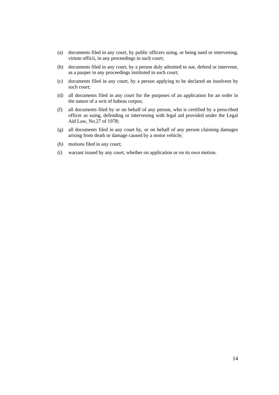- (a) documents filed in any court, by public officers suing, or being sued or intervening, virtute officii, in any proceedings in such court;
- (b) documents filed in any court, by a person duly admitted to sue, defend or intervene, as a pauper in any proceedings instituted in such court;
- (c) documents filed in any court, by a person applying to be declared an insolvent by such court;
- (d) all documents filed in any court for the purposes of an application for an order in the nature of a writ of habeas corpus;
- (f) all documents filed by or on behalf of any person, who is certified by a prescribed officer as suing, defending or intervening with legal aid provided under the Legal Aid Law, No.27 of 1978;
- (g) all documents filed in any court by, or on behalf of any person claiming damages arising from death or damage caused by a motor vehicle;
- (h) motions filed in any court;
- (i) warrant issued by any court, whether on application or on its own motion.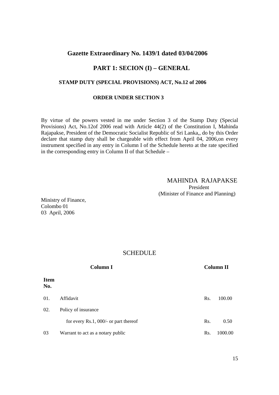### **Gazette Extraordinary No. 1439/1 dated 03/04/2006**

# **PART 1: SECION (I) – GENERAL**

### **STAMP DUTY (SPECIAL PROVISIONS) ACT, No.12 of 2006**

### **ORDER UNDER SECTION 3**

 By virtue of the powers vested in me under Section 3 of the Stamp Duty (Special Provisions) Act, No.12of 2006 read with Article 44(2) of the Constitution I, Mahinda Rajapakse, President of the Democratic Socialist Republic of Sri Lanka,, do by this Order declare that stamp duty shall be chargeable with effect from April 04, 2006,on every instrument specified in any entry in Column I of the Schedule hereto at the rate specified in the corresponding entry in Column II of that Schedule –

### MAHINDA RAJAPAKSE President (Minister of Finance and Planning)

Ministry of Finance, Colombo 01 03 April, 2006

|                    | <b>Column I</b>                          |     | <b>Column II</b> |
|--------------------|------------------------------------------|-----|------------------|
| <b>Item</b><br>No. |                                          |     |                  |
| 01.                | Affidavit                                | Rs. | 100.00           |
| 02.                | Policy of insurance                      |     |                  |
|                    | for every $Rs.1$ , 000/- or part thereof | Rs. | 0.50             |
| 03                 | Warrant to act as a notary public        | Rs. | 1000.00          |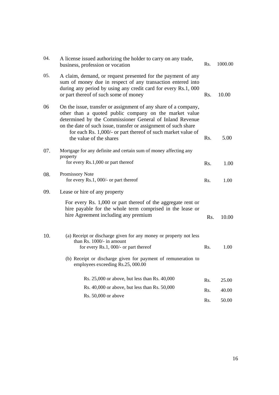| 04. | A license issued authorizing the holder to carry on any trade,<br>business, profession or vocation                                                                                                                                                                                                                                                  | Rs. | 1000.00 |
|-----|-----------------------------------------------------------------------------------------------------------------------------------------------------------------------------------------------------------------------------------------------------------------------------------------------------------------------------------------------------|-----|---------|
| 05. | A claim, demand, or request presented for the payment of any<br>sum of money due in respect of any transaction entered into<br>during any period by using any credit card for every Rs.1, 000<br>or part thereof of such some of money                                                                                                              | Rs. | 10.00   |
| 06  | On the issue, transfer or assignment of any share of a company,<br>other than a quoted public company on the market value<br>determined by the Commissioner General of Inland Revenue<br>on the date of such issue, transfer or assignment of such share<br>for each Rs. 1,000/- or part thereof of such market value of<br>the value of the shares | Rs. | 5.00    |
| 07. | Mortgage for any definite and certain sum of money affecting any<br>property<br>for every Rs.1,000 or part thereof                                                                                                                                                                                                                                  | Rs. | 1.00    |
| 08. | Promissory Note<br>for every Rs.1, 000/- or part thereof                                                                                                                                                                                                                                                                                            | Rs. | 1.00    |
| 09. | Lease or hire of any property                                                                                                                                                                                                                                                                                                                       |     |         |
|     | For every Rs. 1,000 or part thereof of the aggregate rent or<br>hire payable for the whole term comprised in the lease or<br>hire Agreement including any premium                                                                                                                                                                                   | Rs. | 10.00   |
| 10. | (a) Receipt or discharge given for any money or property not less<br>than Rs. 1000/- in amount<br>for every $Rs.1$ , 000/- or part thereof                                                                                                                                                                                                          | Rs. | 1.00    |
|     | (b) Receipt or discharge given for payment of remuneration to<br>employees exceeding Rs.25, 000.00                                                                                                                                                                                                                                                  |     |         |
|     | Rs. 25,000 or above, but less than Rs. 40,000                                                                                                                                                                                                                                                                                                       | Rs. | 25.00   |
|     | Rs. 40,000 or above, but less than Rs. 50,000                                                                                                                                                                                                                                                                                                       | Rs. | 40.00   |
|     | Rs. 50,000 or above                                                                                                                                                                                                                                                                                                                                 | Rs. | 50.00   |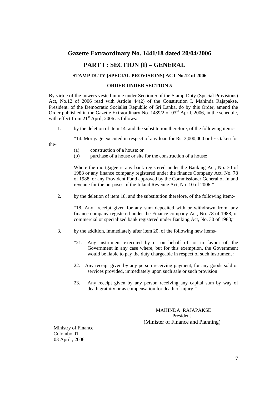### **Gazette Extraordinary No. 1441/18 dated 20/04/2006**

### **PART I : SECTION (I) – GENERAL**

### **STAMP DUTY (SPECIAL PROVISIONS) ACT No.12 of 2006**

#### **ORDER UNDER SECTION 5**

By virtue of the powers vested in me under Section 5 of the Stamp Duty (Special Provisions) Act, No.12 of 2006 read with Article 44(2) of the Constitution I, Mahinda Rajapakse, President, of the Democratic Socialist Republic of Sri Lanka, do by this Order, amend the Order published in the Gazette Extraordinary No. 1439/2 of 03<sup>rd</sup> April, 2006, in the schedule, with effect from  $21<sup>st</sup>$  April, 2006 as follows:

1. by the deletion of item 14, and the substitution therefore, of the following item:-

"14. Mortgage executed in respect of any loan for Rs. 3,000,000 or less taken for

the-

- (a) construction of a house: or
- (b) purchase of a house or site for the construction of a house;

 Where the mortgagee is any bank registered under the Banking Act, No. 30 of 1988 or any finance company registered under the finance Company Act, No. 78 of 1988, or any Provident Fund approved by the Commissioner General of Inland revenue for the purposes of the Inland Revenue Act, No. 10 of 2006;"

2. by the deletion of item 18, and the substitution therefore, of the following item:-

 "18. Any receipt given for any sum deposited with or withdrawn from, any finance company registered under the Finance company Act, No. 78 of 1988, or commercial or specialized bank registered under Banking Act, No. 30 of 1988;"

- 3. by the addition, immediately after item 20, of the following new items-
	- "21. Any instrument executed by or on behalf of, or in favour of, the Government in any case where, but for this exemption, the Government would be liable to pay the duty chargeable in respect of such instrument ;
	- 22. Any receipt given by any person receiving payment, for any goods sold or services provided, immediately upon such sale or such provision:
	- 23. Any receipt given by any person receiving any capital sum by way of death gratuity or as compensation for death of injury."

MAHINDA RAJAPAKSE President (Minister of Finance and Planning)

 Ministry of Finance Colombo 01 03 April , 2006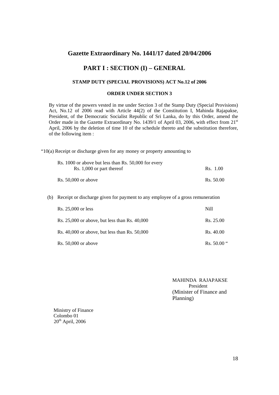### **Gazette Extraordinary No. 1441/17 dated 20/04/2006**

### **PART I : SECTION (I) – GENERAL**

### **STAMP DUTY (SPECIAL PROVISIONS) ACT No.12 of 2006**

#### **ORDER UNDER SECTION 3**

By virtue of the powers vested in me under Section 3 of the Stamp Duty (Special Provisions) Act, No.12 of 2006 read with Article 44(2) of the Constitution I, Mahinda Rajapakse, President, of the Democratic Socialist Republic of Sri Lanka, do by this Order, amend the Order made in the Gazette Extraordinary No. 1439/1 of April 03, 2006, with effect from 21<sup>st</sup> April, 2006 by the deletion of time 10 of the schedule thereto and the substitution therefore, of the following item :

"10(a) Receipt or discharge given for any money or property amounting to

| Rs. 1000 or above but less than Rs. 50,000 for every<br>Rs. 1,000 or part thereof | Rs. 1.00  |  |
|-----------------------------------------------------------------------------------|-----------|--|
| Rs. $50,000$ or above                                                             | Rs. 50.00 |  |

(b) Receipt or discharge given for payment to any employee of a gross remuneration

| Rs. 25,000 or less                                | Nill          |
|---------------------------------------------------|---------------|
| Rs. $25,000$ or above, but less than Rs. $40,000$ | Rs. 25.00     |
| Rs. $40,000$ or above, but less than Rs. $50,000$ | Rs. 40.00     |
| $Rs. 50,000$ or above                             | Rs. $50.00$ " |

 MAHINDA RAJAPAKSE President (Minister of Finance and Planning)

 Ministry of Finance Colombo 01  $20<sup>th</sup>$  April, 2006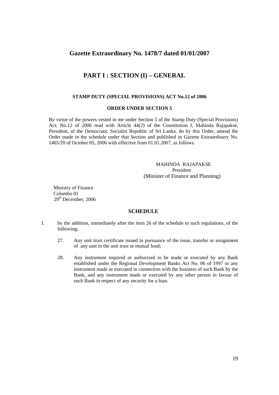### **Gazette Extraordinary No. 1478/7 dated 01/01/2007**

### **PART I : SECTION (I) – GENERAL**

#### **STAMP DUTY (SPECIAL PROVISIONS) ACT No.12 of 2006**

#### **ORDER UNDER SECTION 5**

By virtue of the powers vested in me under Section 5 of the Stamp Duty (Special Provisions) Act, No.12 of 2006 read with Article 44(2) of the Constitution I, Mahinda Rajapakse, President, of the Democratic Socialist Republic of Sri Lanka, do by this Order, amend the Order made in the schedule under that Section and published in Gazette Extraordinary No. 1465/20 of October 05, 2006 with effective from 01.01.2007, as follows.

### MAHINDA RAJAPAKSE President (Minister of Finance and Planning)

 Ministry of Finance Colombo 01 29th December, 2006

- 1. by the addition, immediately after the item 26 of the schedule to such regulations, of the following;
	- 27. Any unit trust certificate issued in pursuance of the issue, transfer or assignment of any unit in the unit trust or mutual fund;
	- 28. Any instrument required or authorized to be made or executed by any Bank established under the Regional Development Banks Act No. 06 of 1997 or any instrument made or executed in connection with the business of such Bank by the Bank, and any instrument made or executed by any other person in favour of such Bank in respect of any security for a loan.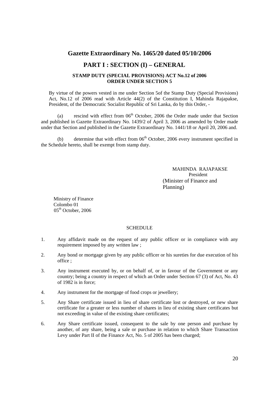### **Gazette Extraordinary No. 1465/20 dated 05/10/2006**

### **PART I : SECTION (I) – GENERAL**

#### **STAMP DUTY (SPECIAL PROVISIONS) ACT No.12 of 2006 ORDER UNDER SECTION 5**

By virtue of the powers vested in me under Section 5of the Stamp Duty (Special Provisions) Act, No.12 of 2006 read with Article 44(2) of the Constitution I, Mahinda Rajapakse, President, of the Democratic Socialist Republic of Sri Lanka, do by this Order, -

(a) rescind with effect from  $06<sup>th</sup>$  October, 2006 the Order made under that Section and published in Gazette Extraordinary No. 1439/2 of April 3, 2006 as amended by Order made under that Section and published in the Gazette Extraordinary No. 1441/18 or April 20, 2006 and.

(b) determine that with effect from  $06<sup>th</sup>$  October, 2006 every instrument specified in the Schedule hereto, shall be exempt from stamp duty.

> MAHINDA RAJAPAKSE President (Minister of Finance and Planning)

 Ministry of Finance Colombo 01 05<sup>th</sup> October, 2006

- 1. Any affidavit made on the request of any public officer or in compliance with any requirement imposed by any written law ;
- 2. Any bond or mortgage given by any public officer or his sureties for due execution of his office ;
- 3. Any instrument executed by, or on behalf of, or in favour of the Government or any country; being a country in respect of which an Order under Section 67 (3) of Act, No. 43 of 1982 is in force;
- 4. Any instrument for the mortgage of food crops or jewellery;
- 5. Any Share certificate issued in lieu of share certificate lost or destroyed, or new share certificate for a greater or less number of shares in lieu of existing share certificates but not exceeding in value of the existing share certificates;
- 6. Any Share certificate issued, consequent to the sale by one person and purchase by another, of any share, being a sale or purchase in relation to which Share Transaction Levy under Part II of the Finance Act, No. 5 of 2005 has been charged;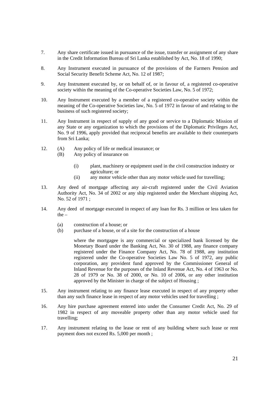- 7. Any share certificate issued in pursuance of the issue, transfer or assignment of any share in the Credit Information Bureau of Sri Lanka established by Act, No. 18 of 1990;
- 8. Any Instrument executed in pursuance of the provisions of the Farmers Pension and Social Security Benefit Scheme Act, No. 12 of 1987;
- 9. Any Instrument executed by, or on behalf of, or in favour of, a registered co-operative society within the meaning of the Co-operative Societies Law, No. 5 of 1972;
- 10. Any Instrument executed by a member of a registered co-operative society within the meaning of the Co-operative Societies law, No. 5 of 1972 in favour of and relating to the business of such registered society;
- 11. Any Instrument in respect of supply of any good or service to a Diplomatic Mission of any State or any organization to which the provisions of the Diplomatic Privileges Act, No. 9 of 1996, apply provided that reciprocal benefits are available to their counterparts from Sri Lanka;
- 12. (A) Any policy of life or medical insurance; or
	- (B) Any policy of insurance on
		- (i) plant, machinery or equipment used in the civil construction industry or agriculture; or
		- (ii) any motor vehicle other than any motor vehicle used for travelling;
- 13. Any deed of mortgage affecting any air-craft registered under the Civil Aviation Authority Act, No. 34 of 2002 or any ship registered under the Merchant shipping Act, No. 52 of 1971 ;
- 14. Any deed of mortgage executed in respect of any loan for Rs. 3 million or less taken for the –
	- (a) construction of a house; or
	- (b) purchase of a house, or of a site for the construction of a house

where the mortgagee is any commercial or specialized bank licensed by the Monetary Board under the Banking Act, No. 30 of 1988, any finance company registered under the Finance Company Act, No. 78 of 1988, any institution registered under the Co-operative Societies Law No. 5 of 1972, any public corporation, any provident fund approved by the Commissioner General of Inland Revenue for the purposes of the Inland Revenue Act, No. 4 of 1963 or No. 28 of 1979 or No. 38 of 2000, or No. 10 of 2006, or any other institution approved by the Minister in charge of the subject of Housing ;

- 15. Any instrument relating to any finance lease executed in respect of any property other than any such finance lease in respect of any motor vehicles used for travelling ;
- 16. Any hire purchase agreement entered into under the Consumer Credit Act, No. 29 of 1982 in respect of any moveable property other than any motor vehicle used for travelling;
- 17. Any instrument relating to the lease or rent of any building where such lease or rent payment does not exceed Rs. 5,000 per month ;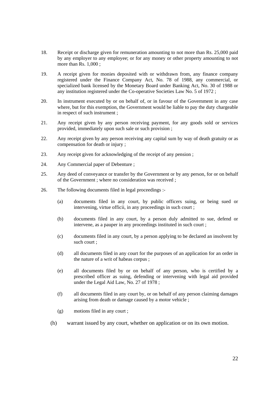- 18. Receipt or discharge given for remuneration amounting to not more than Rs. 25,000 paid by any employer to any employee; or for any money or other property amounting to not more than Rs. 1,000 ;
- 19. A receipt given for monies deposited with or withdrawn from, any finance company registered under the Finance Company Act, No. 78 of 1988, any commercial, or specialized bank licensed by the Monetary Board under Banking Act, No. 30 of 1988 or any institution registered under the Co-operative Societies Law No. 5 of 1972 ;
- 20. In instrument executed by or on behalf of, or in favour of the Government in any case where, but for this exemption, the Government would be liable to pay the duty chargeable in respect of such instrument ;
- 21. Any receipt given by any person receiving payment, for any goods sold or services provided, immediately upon such sale or such provision ;
- 22. Any receipt given by any person receiving any capital sum by way of death gratuity or as compensation for death or injury ;
- 23. Any receipt given for acknowledging of the receipt of any pension ;
- 24. Any Commercial paper of Debenture ;
- 25. Any deed of conveyance or transfer by the Government or by any person, for or on behalf of the Government ; where no consideration was received ;
- 26. The following documents filed in legal proceedings :-
	- (a) documents filed in any court, by public officers suing, or being sued or intervening, virtue officii, in any proceedings in such court ;
	- (b) documents filed in any court, by a person duly admitted to sue, defend or intervene, as a pauper in any proceedings instituted in such court ;
	- (c) documents filed in any court, by a person applying to be declared an insolvent by such court ;
	- (d) all documents filed in any court for the purposes of an application for an order in the nature of a writ of habeas corpus ;
	- (e) all documents filed by or on behalf of any person, who is certified by a prescribed officer as suing, defending or intervening with legal aid provided under the Legal Aid Law, No. 27 of 1978 ;
	- (f) all documents filed in any court by, or on behalf of any person claiming damages arising from death or damage caused by a motor vehicle ;
	- (g) motions filed in any court ;
	- (h) warrant issued by any court, whether on application or on its own motion.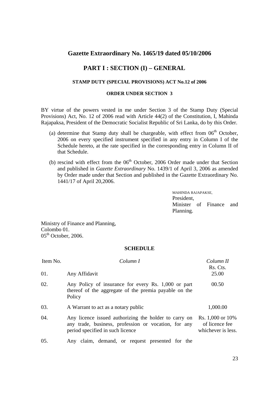### **Gazette Extraordinary No. 1465/19 dated 05/10/2006**

### **PART I : SECTION (I) – GENERAL**

### **STAMP DUTY (SPECIAL PROVISIONS) ACT No.12 of 2006**

#### **ORDER UNDER SECTION 3**

BY virtue of the powers vested in me under Section 3 of the Stamp Duty (Special Provisions) Act, No. 12 of 2006 read with Article 44(2) of the Constitution, I, Mahinda Rajapaksa, President of the Democratic Socialist Republic of Sri Lanka, do by this Order.

- (a) determine that Stamp duty shall be chargeable, with effect from  $06<sup>th</sup>$  October, 2006 on every specified instrument specified in any entry in Column I of the Schedule hereto, at the rate specified in the corresponding entry in Column II of that Schedule.
- (b) rescind with effect from the  $06<sup>th</sup>$  October, 2006 Order made under that Section and published in *Gazette Extraordinary* No. 1439/1 of April 3, 2006 as amended by Order made under that Section and published in the Gazette Extraordinary No. 1441/17 of April 20,2006.

MAHINDA RAJAPAKSE, President, Minister of Finance and Planning.

Ministry of Finance and Planning, Colombo 01.  $05<sup>th</sup>$  October, 2006.

| Item No. | Column I                                                                                                                                          | Column II<br>Rs. Cts.                                    |  |
|----------|---------------------------------------------------------------------------------------------------------------------------------------------------|----------------------------------------------------------|--|
| 01.      | Any Affidavit                                                                                                                                     | 25.00                                                    |  |
| 02.      | Any Policy of insurance for every Rs. 1,000 or part<br>thereof of the aggregate of the premia payable on the<br>Policy                            | 00.50                                                    |  |
| 03.      | A Warrant to act as a notary public                                                                                                               | 1,000.00                                                 |  |
| 04.      | Any licence issued authorizing the holder to carry on<br>any trade, business, profession or vocation, for any<br>period specified in such licence | Rs. 1,000 or 10%<br>of licence fee<br>whichever is less. |  |
| 05.      | Any claim, demand, or request presented for the                                                                                                   |                                                          |  |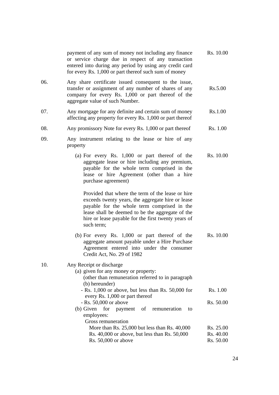|     | payment of any sum of money not including any finance<br>or service charge due in respect of any transaction<br>entered into during any period by using any credit card<br>for every Rs. 1,000 or part thereof such sum of money                                               | Rs. 10.00              |
|-----|--------------------------------------------------------------------------------------------------------------------------------------------------------------------------------------------------------------------------------------------------------------------------------|------------------------|
| 06. | Any share certificate issued consequent to the issue,<br>transfer or assignment of any number of shares of any<br>company for every Rs. 1,000 or part thereof of the<br>aggregate value of such Number.                                                                        | Rs.5.00                |
| 07. | Any mortgage for any definite and certain sum of money<br>affecting any property for every Rs. 1,000 or part thereof                                                                                                                                                           | Rs.1.00                |
| 08. | Any promissory Note for every Rs. 1,000 or part thereof                                                                                                                                                                                                                        | Rs. 1.00               |
| 09. | Any instrument relating to the lease or hire of any<br>property                                                                                                                                                                                                                |                        |
|     | (a) For every Rs. $1,000$ or part thereof of the<br>aggregate lease or hire including any premium,<br>payable for the whole term comprised in the<br>lease or hire Agreement (other than a hire<br>purchase agreement)                                                         | Rs. 10.00              |
|     | Provided that where the term of the lease or hire<br>exceeds twenty years, the aggregate hire or lease<br>payable for the whole term comprised in the<br>lease shall be deemed to be the aggregate of the<br>hire or lease payable for the first twenty years of<br>such term; |                        |
|     | (b) For every Rs. $1,000$ or part thereof of the<br>aggregate amount payable under a Hire Purchase<br>Agreement entered into under the consumer<br>Credit Act, No. 29 of 1982                                                                                                  | Rs. 10.00              |
| 10. | Any Receipt or discharge<br>(a) given for any money or property:<br>(other than remuneration referred to in paragraph<br>(b) hereunder)                                                                                                                                        |                        |
|     | - Rs. 1,000 or above, but less than Rs. 50,000 for<br>every Rs. 1,000 or part thereof                                                                                                                                                                                          | Rs. 1.00               |
|     | $-Rs. 50,000$ or above<br>$(b)$ Given<br>for<br>of<br>remuneration<br>payment<br>to<br>employees:<br>Gross remuneration                                                                                                                                                        | Rs. 50.00              |
|     | More than Rs. $25,000$ but less than Rs. $40,000$                                                                                                                                                                                                                              | Rs. 25.00              |
|     | Rs. 40,000 or above, but less than Rs. 50,000<br>Rs. 50,000 or above                                                                                                                                                                                                           | Rs. 40.00<br>Rs. 50.00 |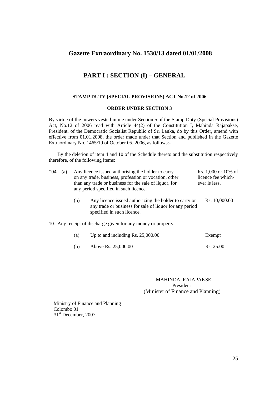### **Gazette Extraordinary No. 1530/13 dated 01/01/2008**

### **PART I : SECTION (I) – GENERAL**

#### **STAMP DUTY (SPECIAL PROVISIONS) ACT No.12 of 2006**

#### **ORDER UNDER SECTION 3**

By virtue of the powers vested in me under Section 5 of the Stamp Duty (Special Provisions) Act, No.12 of 2006 read with Article 44(2) of the Constitution I, Mahinda Rajapakse, President, of the Democratic Socialist Republic of Sri Lanka, do by this Order, amend with effective from 01.01.2008, the order made under that Section and published in the Gazette Extraordinary No. 1465/19 of October 05, 2006, as follows:-

 By the deletion of item 4 and 10 of the Schedule thereto and the substitution respectively therefore, of the following items:

| "04.<br>(a) |  |     | Any licence issued authorising the holder to carry<br>on any trade, business, profession or vocation, other<br>than any trade or business for the sale of liquor, for<br>any period specified in such licence. | Rs. 1,000 or 10% of<br>licence fee which-<br>ever is less. |
|-------------|--|-----|----------------------------------------------------------------------------------------------------------------------------------------------------------------------------------------------------------------|------------------------------------------------------------|
|             |  | (b) | Any licence issued authorizing the holder to carry on<br>any trade or business for sale of liquor for any period<br>specified in such licence.                                                                 | Rs. 10,000.00                                              |
|             |  |     | 10. Any receipt of discharge given for any money or property                                                                                                                                                   |                                                            |
|             |  | (a) | Up to and including Rs. $25,000.00$                                                                                                                                                                            | Exempt                                                     |
|             |  | (b) | Above Rs. 25,000.00                                                                                                                                                                                            | Rs. 25.00"                                                 |

MAHINDA RAJAPAKSE President (Minister of Finance and Planning)

 Ministry of Finance and Planning Colombo 01 31<sup>st</sup> December, 2007